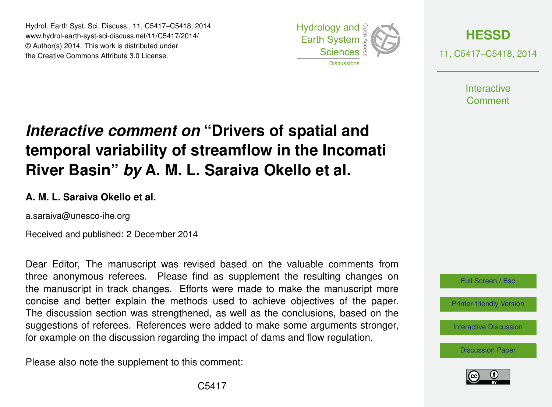Hydrol. Earth Syst. Sci. Discuss., 11, C5417–C5418, 2014 www.hydrol-earth-syst-sci-discuss.net/11/C5417/2014/ © Author(s) 2014. This work is distributed under the Creative Commons Attribute 3.0 License.





**Interactive** Comment

## *Interactive comment on* **"Drivers of spatial and temporal variability of streamflow in the Incomati River Basin"** *by* **A. M. L. Saraiva Okello et al.**

## **A. M. L. Saraiva Okello et al.**

a.saraiva@unesco-ihe.org

Received and published: 2 December 2014

Dear Editor, The manuscript was revised based on the valuable comments from three anonymous referees. Please find as supplement the resulting changes on the manuscript in track changes. Efforts were made to make the manuscript more concise and better explain the methods used to achieve objectives of the paper. The discussion section was strengthened, as well as the conclusions, based on the suggestions of referees. References were added to make some arguments stronger, for example on the discussion regarding the impact of dams and flow regulation.

Please also note the supplement to this comment: